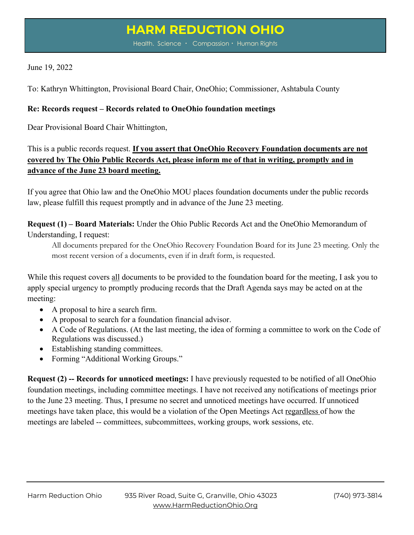## **HARM REDUCTION OHIO**

Health. Science • Compassion • Human Rights

## June 19, 2022

To: Kathryn Whittington, Provisional Board Chair, OneOhio; Commissioner, Ashtabula County

## **Re: Records request – Records related to OneOhio foundation meetings**

Dear Provisional Board Chair Whittington,

This is a public records request. **If you assert that OneOhio Recovery Foundation documents are not covered by The Ohio Public Records Act, please inform me of that in writing, promptly and in advance of the June 23 board meeting.**

If you agree that Ohio law and the OneOhio MOU places foundation documents under the public records law, please fulfill this request promptly and in advance of the June 23 meeting.

**Request (1) – Board Materials:** Under the Ohio Public Records Act and the OneOhio Memorandum of Understanding, I request:

All documents prepared for the OneOhio Recovery Foundation Board for its June 23 meeting. Only the most recent version of a documents, even if in draft form, is requested.

While this request covers all documents to be provided to the foundation board for the meeting, I ask you to apply special urgency to promptly producing records that the Draft Agenda says may be acted on at the meeting:

- A proposal to hire a search firm.
- A proposal to search for a foundation financial advisor.
- A Code of Regulations. (At the last meeting, the idea of forming a committee to work on the Code of Regulations was discussed.)
- Establishing standing committees.
- Forming "Additional Working Groups."

**Request (2) -- Records for unnoticed meetings:** I have previously requested to be notified of all OneOhio foundation meetings, including committee meetings. I have not received any notifications of meetings prior to the June 23 meeting. Thus, I presume no secret and unnoticed meetings have occurred. If unnoticed meetings have taken place, this would be a violation of the Open Meetings Act regardless of how the meetings are labeled -- committees, subcommittees, working groups, work sessions, etc.